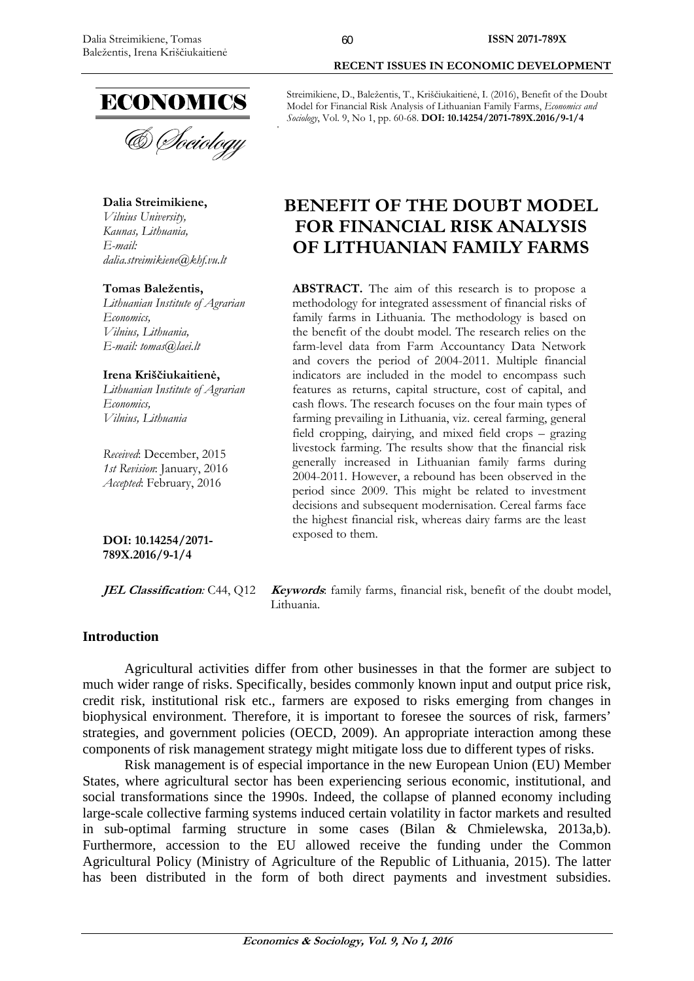

**Dalia Streimikiene,** 

*Vilnius University, Kaunas, Lithuania, E-mail: dalia.streimikiene@khf.vu.lt* 

#### **Tomas Baležentis,**

*Lithuanian Institute of Agrarian Economics, Vilnius, Lithuania, E-mail: tomas@laei.lt* 

#### **Irena Kriščiukaitienė,**

*Lithuanian Institute of Agrarian Economics, Vilnius, Lithuania* 

*Received*: December, 2015 *1st Revision*: January, 2016 *Accepted*: February, 2016

**DOI: 10.14254/2071- 789X.2016/9-1/4**

# **RECENT ISSUES IN ECONOMIC DEVELOPMENT**

Streimikiene, D., Baležentis, T., Kriščiukaitienė, I. (2016), Benefit of the Doubt Model for Financial Risk Analysis of Lithuanian Family Farms, *Economics and Sociology*, Vol. 9, No 1, pp. 60-68. **DOI: 10.14254/2071-789X.2016/9-1/4** 

# **BENEFIT OF THE DOUBT MODEL FOR FINANCIAL RISK ANALYSIS OF LITHUANIAN FAMILY FARMS**

**ABSTRACT.** The aim of this research is to propose a methodology for integrated assessment of financial risks of family farms in Lithuania. The methodology is based on the benefit of the doubt model. The research relies on the farm-level data from Farm Accountancy Data Network and covers the period of 2004-2011. Multiple financial indicators are included in the model to encompass such features as returns, capital structure, cost of capital, and cash flows. The research focuses on the four main types of farming prevailing in Lithuania, viz. cereal farming, general field cropping, dairying, and mixed field crops – grazing livestock farming. The results show that the financial risk generally increased in Lithuanian family farms during 2004-2011. However, a rebound has been observed in the period since 2009. This might be related to investment decisions and subsequent modernisation. Cereal farms face the highest financial risk, whereas dairy farms are the least exposed to them.

*JEL Classification:* C44, Q12 *Keywords*: family farms, financial risk, benefit of the doubt model, Lithuania.

# **Introduction**

Agricultural activities differ from other businesses in that the former are subject to much wider range of risks. Specifically, besides commonly known input and output price risk, credit risk, institutional risk etc., farmers are exposed to risks emerging from changes in biophysical environment. Therefore, it is important to foresee the sources of risk, farmers' strategies, and government policies (OECD, 2009). An appropriate interaction among these components of risk management strategy might mitigate loss due to different types of risks.

Risk management is of especial importance in the new European Union (EU) Member States, where agricultural sector has been experiencing serious economic, institutional, and social transformations since the 1990s. Indeed, the collapse of planned economy including large-scale collective farming systems induced certain volatility in factor markets and resulted in sub-optimal farming structure in some cases (Bilan & Chmielewska, 2013a,b). Furthermore, accession to the EU allowed receive the funding under the Common Agricultural Policy (Ministry of Agriculture of the Republic of Lithuania, 2015). The latter has been distributed in the form of both direct payments and investment subsidies.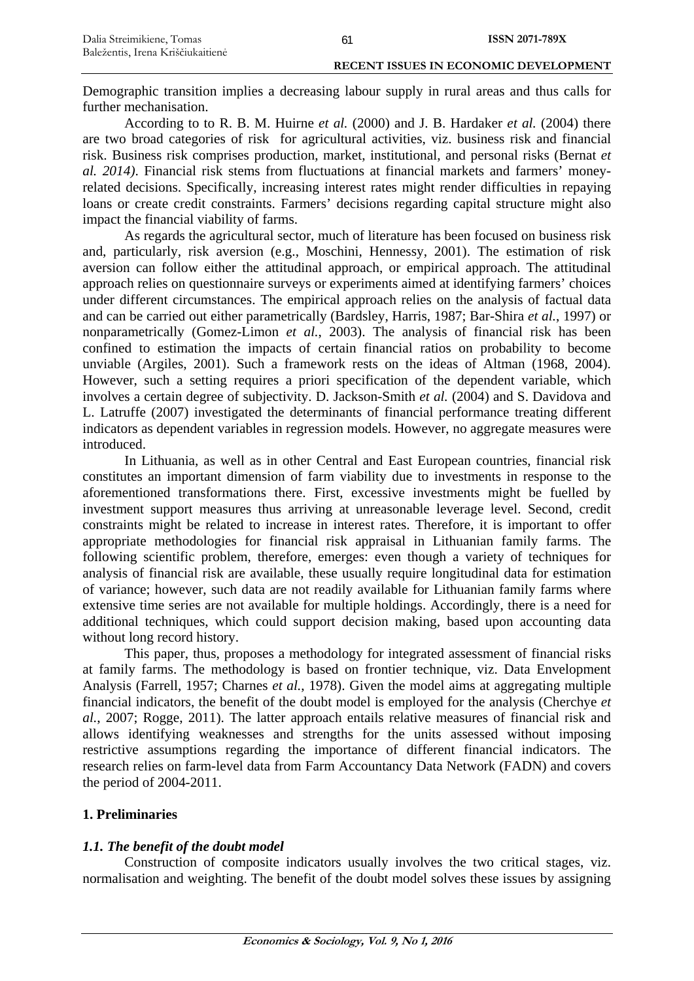Demographic transition implies a decreasing labour supply in rural areas and thus calls for further mechanisation.

According to to R. B. M. Huirne *et al.* (2000) and J. B. Hardaker *et al.* (2004) there are two broad categories of risk for agricultural activities, viz. business risk and financial risk. Business risk comprises production, market, institutional, and personal risks (Bernat *et al. 2014)*. Financial risk stems from fluctuations at financial markets and farmers' moneyrelated decisions. Specifically, increasing interest rates might render difficulties in repaying loans or create credit constraints. Farmers' decisions regarding capital structure might also impact the financial viability of farms.

As regards the agricultural sector, much of literature has been focused on business risk and, particularly, risk aversion (e.g., Moschini, Hennessy, 2001). The estimation of risk aversion can follow either the attitudinal approach, or empirical approach. The attitudinal approach relies on questionnaire surveys or experiments aimed at identifying farmers' choices under different circumstances. The empirical approach relies on the analysis of factual data and can be carried out either parametrically (Bardsley, Harris, 1987; Bar-Shira *et al.*, 1997) or nonparametrically (Gomez-Limon *et al.*, 2003). The analysis of financial risk has been confined to estimation the impacts of certain financial ratios on probability to become unviable (Argiles, 2001). Such a framework rests on the ideas of Altman (1968, 2004). However, such a setting requires a priori specification of the dependent variable, which involves a certain degree of subjectivity. D. Jackson-Smith *et al.* (2004) and S. Davidova and L. Latruffe (2007) investigated the determinants of financial performance treating different indicators as dependent variables in regression models. However, no aggregate measures were introduced.

In Lithuania, as well as in other Central and East European countries, financial risk constitutes an important dimension of farm viability due to investments in response to the aforementioned transformations there. First, excessive investments might be fuelled by investment support measures thus arriving at unreasonable leverage level. Second, credit constraints might be related to increase in interest rates. Therefore, it is important to offer appropriate methodologies for financial risk appraisal in Lithuanian family farms. The following scientific problem, therefore, emerges: even though a variety of techniques for analysis of financial risk are available, these usually require longitudinal data for estimation of variance; however, such data are not readily available for Lithuanian family farms where extensive time series are not available for multiple holdings. Accordingly, there is a need for additional techniques, which could support decision making, based upon accounting data without long record history.

This paper, thus, proposes a methodology for integrated assessment of financial risks at family farms. The methodology is based on frontier technique, viz. Data Envelopment Analysis (Farrell, 1957; Charnes *et al.*, 1978). Given the model aims at aggregating multiple financial indicators, the benefit of the doubt model is employed for the analysis (Cherchye *et al.*, 2007; Rogge, 2011). The latter approach entails relative measures of financial risk and allows identifying weaknesses and strengths for the units assessed without imposing restrictive assumptions regarding the importance of different financial indicators. The research relies on farm-level data from Farm Accountancy Data Network (FADN) and covers the period of 2004-2011.

# **1. Preliminaries**

# *1.1. The benefit of the doubt model*

Construction of composite indicators usually involves the two critical stages, viz. normalisation and weighting. The benefit of the doubt model solves these issues by assigning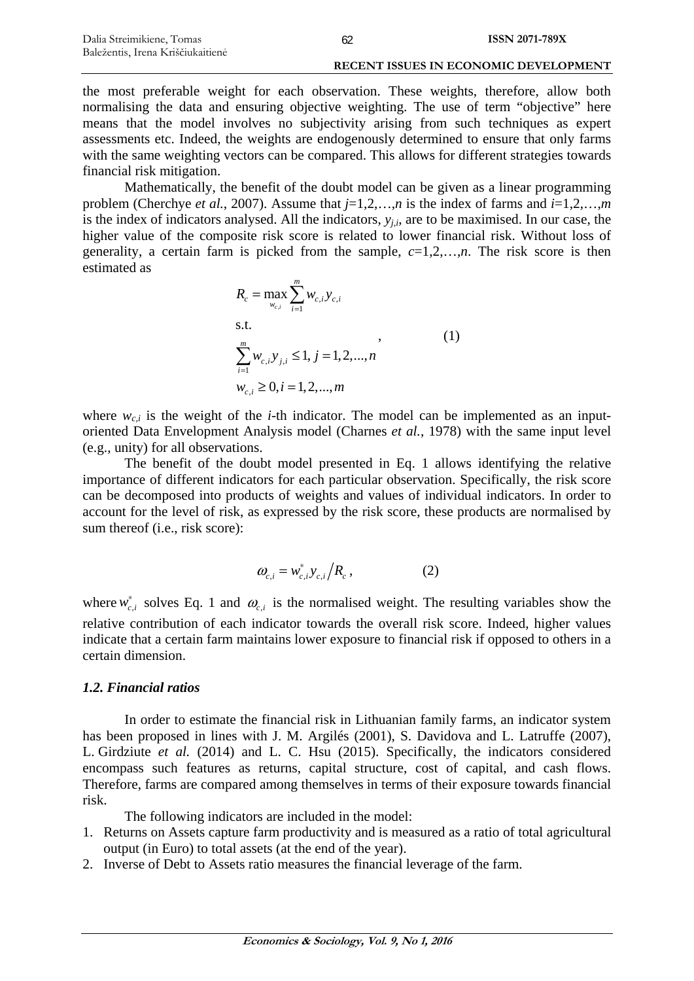the most preferable weight for each observation. These weights, therefore, allow both normalising the data and ensuring objective weighting. The use of term "objective" here means that the model involves no subjectivity arising from such techniques as expert assessments etc. Indeed, the weights are endogenously determined to ensure that only farms with the same weighting vectors can be compared. This allows for different strategies towards financial risk mitigation.

Mathematically, the benefit of the doubt model can be given as a linear programming problem (Cherchye *et al.*, 2007). Assume that *j*=1,2,…,*n* is the index of farms and *i*=1,2,…,*m* is the index of indicators analysed. All the indicators,  $y_{i,i}$ , are to be maximised. In our case, the higher value of the composite risk score is related to lower financial risk. Without loss of generality, a certain farm is picked from the sample,  $c=1,2,...,n$ . The risk score is then estimated as

$$
R_c = \max_{w_{c,i}} \sum_{i=1}^{m} w_{c,i} y_{c,i}
$$
  
s.t.  

$$
\sum_{i=1}^{m} w_{c,i} y_{j,i} \le 1, j = 1, 2, ..., n
$$
  

$$
w_{c,i} \ge 0, i = 1, 2, ..., m
$$
 (1)

where  $w_{c,i}$  is the weight of the *i*-th indicator. The model can be implemented as an inputoriented Data Envelopment Analysis model (Charnes *et al.*, 1978) with the same input level (e.g., unity) for all observations.

The benefit of the doubt model presented in Eq. 1 allows identifying the relative importance of different indicators for each particular observation. Specifically, the risk score can be decomposed into products of weights and values of individual indicators. In order to account for the level of risk, as expressed by the risk score, these products are normalised by sum thereof (i.e., risk score):

$$
\omega_{c,i} = w_{c,i}^* y_{c,i} / R_c, \qquad (2)
$$

where  $w_{c,i}^*$  solves Eq. 1 and  $\omega_{c,i}$  is the normalised weight. The resulting variables show the relative contribution of each indicator towards the overall risk score. Indeed, higher values indicate that a certain farm maintains lower exposure to financial risk if opposed to others in a certain dimension.

### *1.2. Financial ratios*

In order to estimate the financial risk in Lithuanian family farms, an indicator system has been proposed in lines with J. M. Argilés (2001), S. Davidova and L. Latruffe (2007), L. Girdziute *et al.* (2014) and L. C. Hsu (2015). Specifically, the indicators considered encompass such features as returns, capital structure, cost of capital, and cash flows. Therefore, farms are compared among themselves in terms of their exposure towards financial risk.

The following indicators are included in the model:

- 1. Returns on Assets capture farm productivity and is measured as a ratio of total agricultural output (in Euro) to total assets (at the end of the year).
- 2. Inverse of Debt to Assets ratio measures the financial leverage of the farm.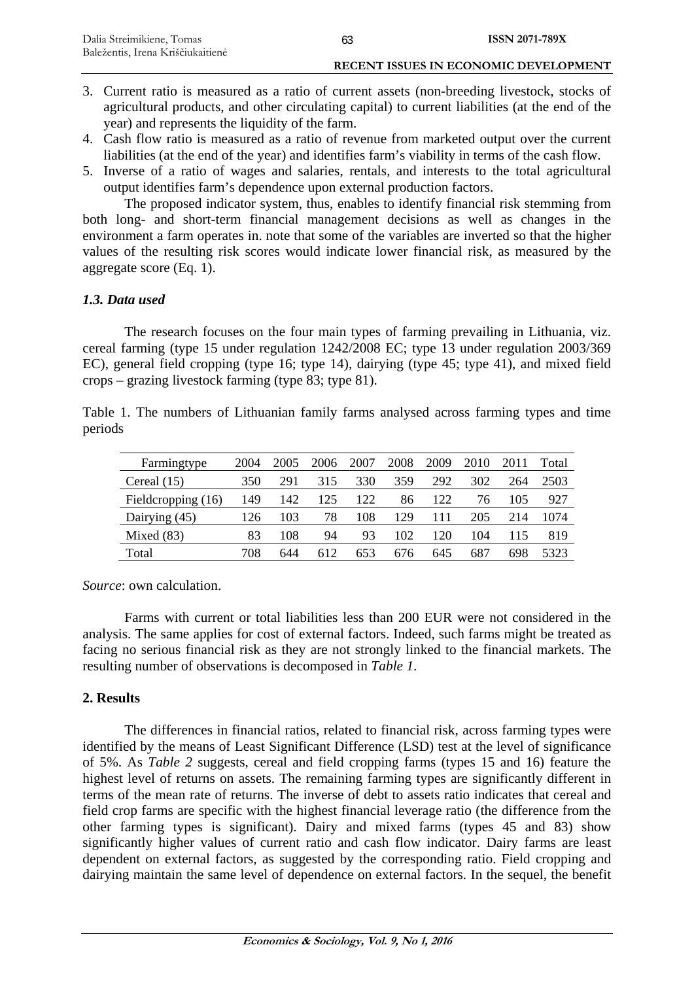- 3. Current ratio is measured as a ratio of current assets (non-breeding livestock, stocks of agricultural products, and other circulating capital) to current liabilities (at the end of the year) and represents the liquidity of the farm.
- 4. Cash flow ratio is measured as a ratio of revenue from marketed output over the current liabilities (at the end of the year) and identifies farm's viability in terms of the cash flow.
- 5. Inverse of a ratio of wages and salaries, rentals, and interests to the total agricultural output identifies farm's dependence upon external production factors.

The proposed indicator system, thus, enables to identify financial risk stemming from both long- and short-term financial management decisions as well as changes in the environment a farm operates in. note that some of the variables are inverted so that the higher values of the resulting risk scores would indicate lower financial risk, as measured by the aggregate score (Eq. 1).

# *1.3. Data used*

The research focuses on the four main types of farming prevailing in Lithuania, viz. cereal farming (type 15 under regulation 1242/2008 EC; type 13 under regulation 2003/369 EC), general field cropping (type 16; type 14), dairying (type 45; type 41), and mixed field crops – grazing livestock farming (type 83; type 81).

Table 1. The numbers of Lithuanian family farms analysed across farming types and time periods

| Farmingtype        | 2004 | 2005 | 2006 | 2007 | 2008 | 2009 | 2010 | 2011 | Total |
|--------------------|------|------|------|------|------|------|------|------|-------|
| Cereal $(15)$      | 350  | 291  | 315  | 330  | 359  | 292  | 302  | 264  | 2503  |
| Fieldcropping (16) | 149  | 142  | 125  | 122  | 86   | 122  | 76   | 105  | 927   |
| Dairying (45)      | 126  | 103  | 78   | 108  | 129  |      | 205  | 214  | 1074  |
| Mixed $(83)$       | 83   | 108  | 94   | 93   | 102  | 120  | 104  |      | 819   |
| Total              | 708  | 644  | 612  | 653  | 676  | 645  | 687  | 698  | 5323  |

*Source*: own calculation.

Farms with current or total liabilities less than 200 EUR were not considered in the analysis. The same applies for cost of external factors. Indeed, such farms might be treated as facing no serious financial risk as they are not strongly linked to the financial markets. The resulting number of observations is decomposed in *Table 1*.

# **2. Results**

The differences in financial ratios, related to financial risk, across farming types were identified by the means of Least Significant Difference (LSD) test at the level of significance of 5%. As *Table 2* suggests, cereal and field cropping farms (types 15 and 16) feature the highest level of returns on assets. The remaining farming types are significantly different in terms of the mean rate of returns. The inverse of debt to assets ratio indicates that cereal and field crop farms are specific with the highest financial leverage ratio (the difference from the other farming types is significant). Dairy and mixed farms (types 45 and 83) show significantly higher values of current ratio and cash flow indicator. Dairy farms are least dependent on external factors, as suggested by the corresponding ratio. Field cropping and dairying maintain the same level of dependence on external factors. In the sequel, the benefit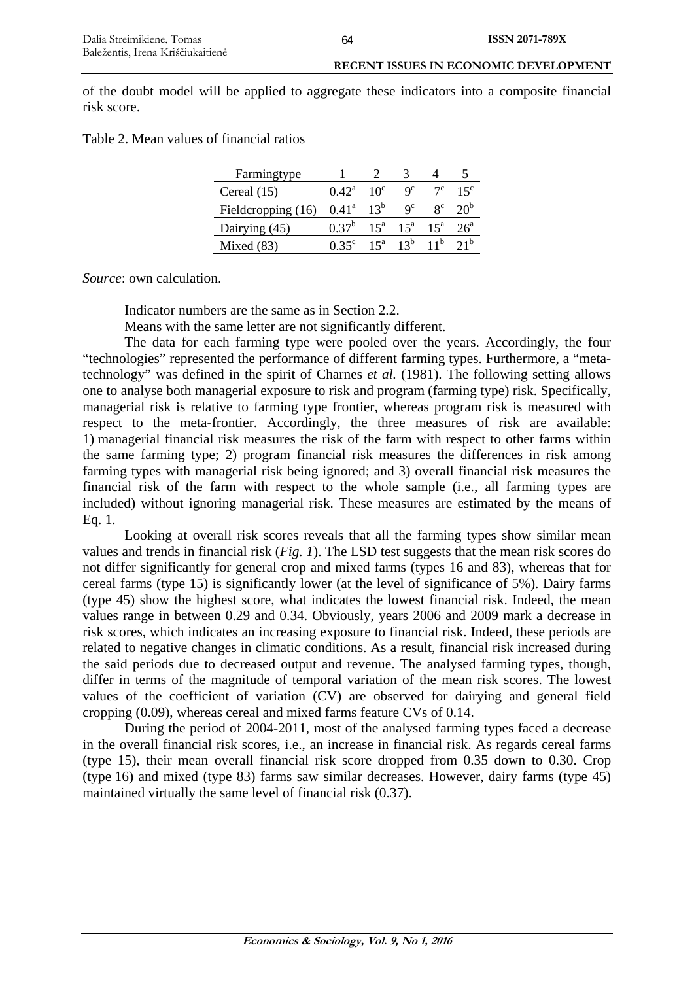of the doubt model will be applied to aggregate these indicators into a composite financial risk score.

| Table 2. Mean values of financial ratios |  |  |  |  |
|------------------------------------------|--|--|--|--|
|------------------------------------------|--|--|--|--|

| Farmingtype        |                |                 |               |                           |                 |
|--------------------|----------------|-----------------|---------------|---------------------------|-----------------|
| Cereal $(15)$      | $0.42^{\rm a}$ | $10^{\circ}$    | $Q^c$         |                           | $15^{\circ}$    |
| Fieldcropping (16) | $0.41^{\rm a}$ | $13^b$          | $Q^C$         | $\mathbf{Q}^{\mathbf{C}}$ | 20 <sup>b</sup> |
| Dairying (45)      | $0.37^b$       | 15 <sup>a</sup> |               | $15^a$ $15^a$             | $26^a$          |
| Mixed $(83)$       | $0.35^{\circ}$ |                 | $15^a$ $13^b$ |                           |                 |

*Source*: own calculation.

Indicator numbers are the same as in Section 2.2.

Means with the same letter are not significantly different.

The data for each farming type were pooled over the years. Accordingly, the four "technologies" represented the performance of different farming types. Furthermore, a "metatechnology" was defined in the spirit of Charnes *et al.* (1981). The following setting allows one to analyse both managerial exposure to risk and program (farming type) risk. Specifically, managerial risk is relative to farming type frontier, whereas program risk is measured with respect to the meta-frontier. Accordingly, the three measures of risk are available: 1) managerial financial risk measures the risk of the farm with respect to other farms within the same farming type; 2) program financial risk measures the differences in risk among farming types with managerial risk being ignored; and 3) overall financial risk measures the financial risk of the farm with respect to the whole sample (i.e., all farming types are included) without ignoring managerial risk. These measures are estimated by the means of Eq. 1.

Looking at overall risk scores reveals that all the farming types show similar mean values and trends in financial risk (*Fig. 1*). The LSD test suggests that the mean risk scores do not differ significantly for general crop and mixed farms (types 16 and 83), whereas that for cereal farms (type 15) is significantly lower (at the level of significance of 5%). Dairy farms (type 45) show the highest score, what indicates the lowest financial risk. Indeed, the mean values range in between 0.29 and 0.34. Obviously, years 2006 and 2009 mark a decrease in risk scores, which indicates an increasing exposure to financial risk. Indeed, these periods are related to negative changes in climatic conditions. As a result, financial risk increased during the said periods due to decreased output and revenue. The analysed farming types, though, differ in terms of the magnitude of temporal variation of the mean risk scores. The lowest values of the coefficient of variation (CV) are observed for dairying and general field cropping (0.09), whereas cereal and mixed farms feature CVs of 0.14.

During the period of 2004-2011, most of the analysed farming types faced a decrease in the overall financial risk scores, i.e., an increase in financial risk. As regards cereal farms (type 15), their mean overall financial risk score dropped from 0.35 down to 0.30. Crop (type 16) and mixed (type 83) farms saw similar decreases. However, dairy farms (type 45) maintained virtually the same level of financial risk (0.37).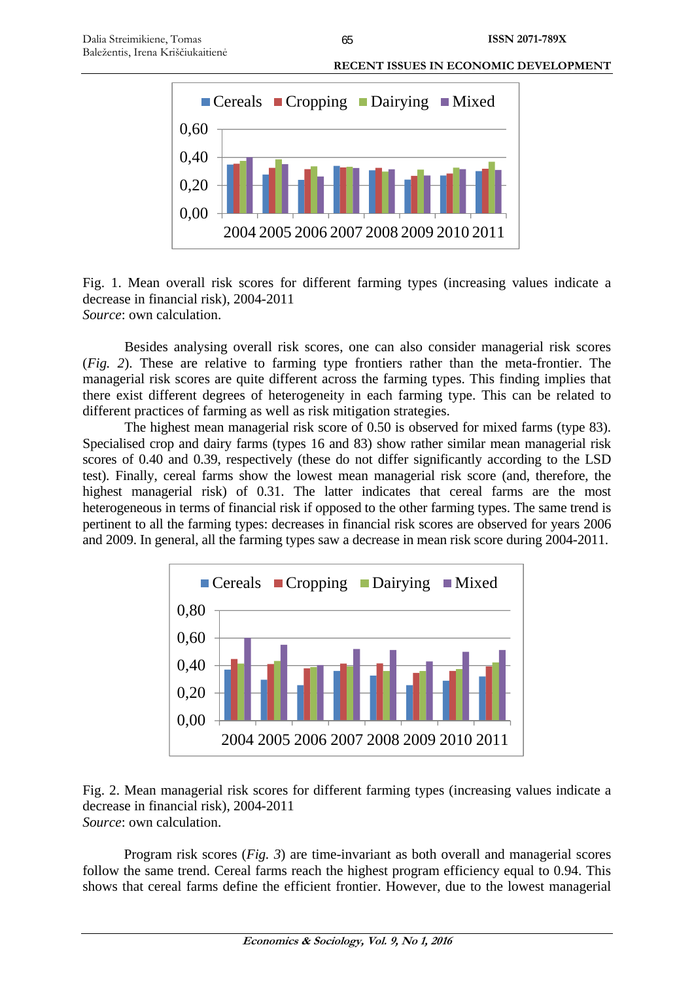

Fig. 1. Mean overall risk scores for different farming types (increasing values indicate a decrease in financial risk), 2004-2011 *Source*: own calculation.

Besides analysing overall risk scores, one can also consider managerial risk scores (*Fig. 2*). These are relative to farming type frontiers rather than the meta-frontier. The managerial risk scores are quite different across the farming types. This finding implies that there exist different degrees of heterogeneity in each farming type. This can be related to different practices of farming as well as risk mitigation strategies.

The highest mean managerial risk score of 0.50 is observed for mixed farms (type 83). Specialised crop and dairy farms (types 16 and 83) show rather similar mean managerial risk scores of 0.40 and 0.39, respectively (these do not differ significantly according to the LSD test). Finally, cereal farms show the lowest mean managerial risk score (and, therefore, the highest managerial risk) of 0.31. The latter indicates that cereal farms are the most heterogeneous in terms of financial risk if opposed to the other farming types. The same trend is pertinent to all the farming types: decreases in financial risk scores are observed for years 2006 and 2009. In general, all the farming types saw a decrease in mean risk score during 2004-2011.



Fig. 2. Mean managerial risk scores for different farming types (increasing values indicate a decrease in financial risk), 2004-2011 *Source*: own calculation.

Program risk scores (*Fig. 3*) are time-invariant as both overall and managerial scores follow the same trend. Cereal farms reach the highest program efficiency equal to 0.94. This shows that cereal farms define the efficient frontier. However, due to the lowest managerial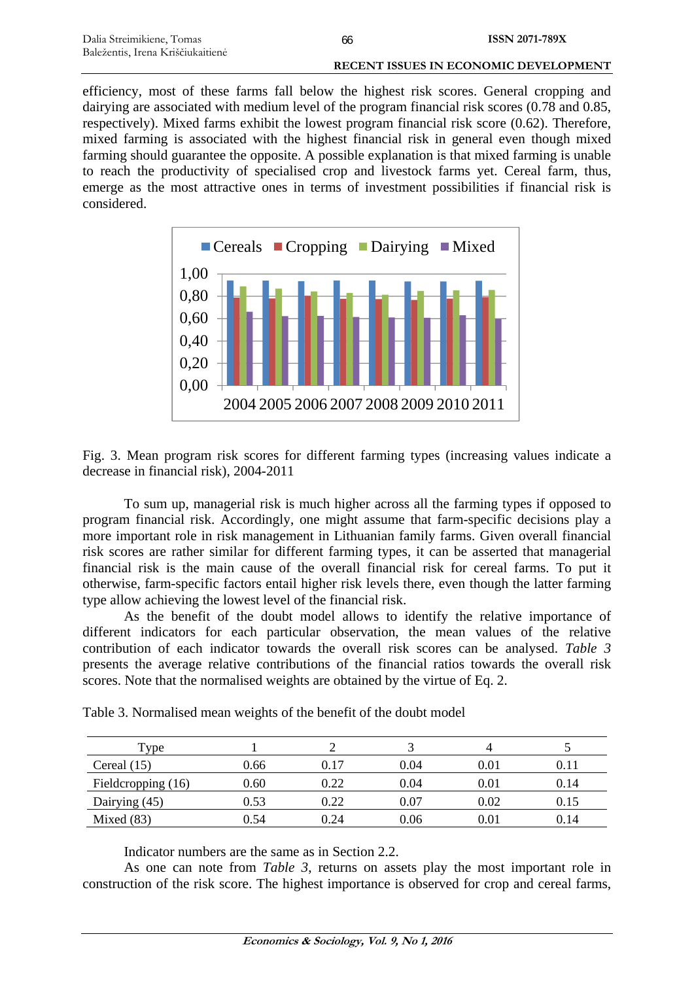#### **RECENT ISSUES IN ECONOMIC DEVELOPMENT**

efficiency, most of these farms fall below the highest risk scores. General cropping and dairying are associated with medium level of the program financial risk scores (0.78 and 0.85, respectively). Mixed farms exhibit the lowest program financial risk score (0.62). Therefore, mixed farming is associated with the highest financial risk in general even though mixed farming should guarantee the opposite. A possible explanation is that mixed farming is unable to reach the productivity of specialised crop and livestock farms yet. Cereal farm, thus, emerge as the most attractive ones in terms of investment possibilities if financial risk is considered.



Fig. 3. Mean program risk scores for different farming types (increasing values indicate a decrease in financial risk), 2004-2011

To sum up, managerial risk is much higher across all the farming types if opposed to program financial risk. Accordingly, one might assume that farm-specific decisions play a more important role in risk management in Lithuanian family farms. Given overall financial risk scores are rather similar for different farming types, it can be asserted that managerial financial risk is the main cause of the overall financial risk for cereal farms. To put it otherwise, farm-specific factors entail higher risk levels there, even though the latter farming type allow achieving the lowest level of the financial risk.

As the benefit of the doubt model allows to identify the relative importance of different indicators for each particular observation, the mean values of the relative contribution of each indicator towards the overall risk scores can be analysed. *Table 3* presents the average relative contributions of the financial ratios towards the overall risk scores. Note that the normalised weights are obtained by the virtue of Eq. 2.

| Type               |      |      |      |          |      |
|--------------------|------|------|------|----------|------|
| Cereal $(15)$      | 0.66 | 0.17 | 0.04 | 0.01     | 0.11 |
| Fieldcropping (16) | 0.60 | 0.22 | 0.04 | 0.01     | 0.14 |
| Dairying (45)      | 0.53 | 0.22 | 0.07 | 0.02     | 0.15 |
| Mixed $(83)$       | 0.54 | 0.24 | 0.06 | $0.01\,$ | 0.14 |

Table 3. Normalised mean weights of the benefit of the doubt model

Indicator numbers are the same as in Section 2.2.

As one can note from *Table 3*, returns on assets play the most important role in construction of the risk score. The highest importance is observed for crop and cereal farms,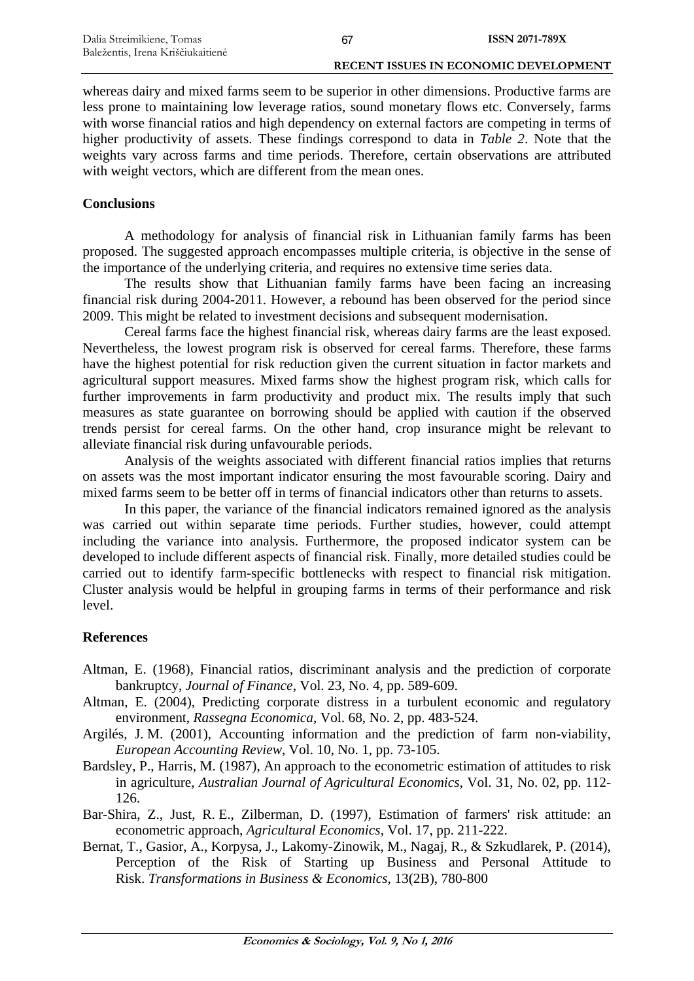#### **RECENT ISSUES IN ECONOMIC DEVELOPMENT**

whereas dairy and mixed farms seem to be superior in other dimensions. Productive farms are less prone to maintaining low leverage ratios, sound monetary flows etc. Conversely, farms with worse financial ratios and high dependency on external factors are competing in terms of higher productivity of assets. These findings correspond to data in *Table 2*. Note that the weights vary across farms and time periods. Therefore, certain observations are attributed with weight vectors, which are different from the mean ones.

# **Conclusions**

A methodology for analysis of financial risk in Lithuanian family farms has been proposed. The suggested approach encompasses multiple criteria, is objective in the sense of the importance of the underlying criteria, and requires no extensive time series data.

The results show that Lithuanian family farms have been facing an increasing financial risk during 2004-2011. However, a rebound has been observed for the period since 2009. This might be related to investment decisions and subsequent modernisation.

Cereal farms face the highest financial risk, whereas dairy farms are the least exposed. Nevertheless, the lowest program risk is observed for cereal farms. Therefore, these farms have the highest potential for risk reduction given the current situation in factor markets and agricultural support measures. Mixed farms show the highest program risk, which calls for further improvements in farm productivity and product mix. The results imply that such measures as state guarantee on borrowing should be applied with caution if the observed trends persist for cereal farms. On the other hand, crop insurance might be relevant to alleviate financial risk during unfavourable periods.

Analysis of the weights associated with different financial ratios implies that returns on assets was the most important indicator ensuring the most favourable scoring. Dairy and mixed farms seem to be better off in terms of financial indicators other than returns to assets.

In this paper, the variance of the financial indicators remained ignored as the analysis was carried out within separate time periods. Further studies, however, could attempt including the variance into analysis. Furthermore, the proposed indicator system can be developed to include different aspects of financial risk. Finally, more detailed studies could be carried out to identify farm-specific bottlenecks with respect to financial risk mitigation. Cluster analysis would be helpful in grouping farms in terms of their performance and risk level.

# **References**

- Altman, E. (1968), Financial ratios, discriminant analysis and the prediction of corporate bankruptcy, *Journal of Finance*, Vol. 23, No. 4, pp. 589-609.
- Altman, E. (2004), Predicting corporate distress in a turbulent economic and regulatory environment, *Rassegna Economica*, Vol. 68, No. 2, pp. 483-524.
- Argilés, J. M. (2001), Accounting information and the prediction of farm non-viability, *European Accounting Review*, Vol. 10, No. 1, pp. 73-105.
- Bardsley, P., Harris, M. (1987), An approach to the econometric estimation of attitudes to risk in agriculture, *Australian Journal of Agricultural Economics*, Vol. 31, No. 02, pp. 112- 126.
- Bar-Shira, Z., Just, R. E., Zilberman, D. (1997), Estimation of farmers' risk attitude: an econometric approach, *Agricultural Economics*, Vol. 17, pp. 211-222.
- Bernat, T., Gasior, A., Korpysa, J., Lakomy-Zinowik, M., Nagaj, R., & Szkudlarek, P. (2014), Perception of the Risk of Starting up Business and Personal Attitude to Risk. *Transformations in Business & Economics*, 13(2B), 780-800